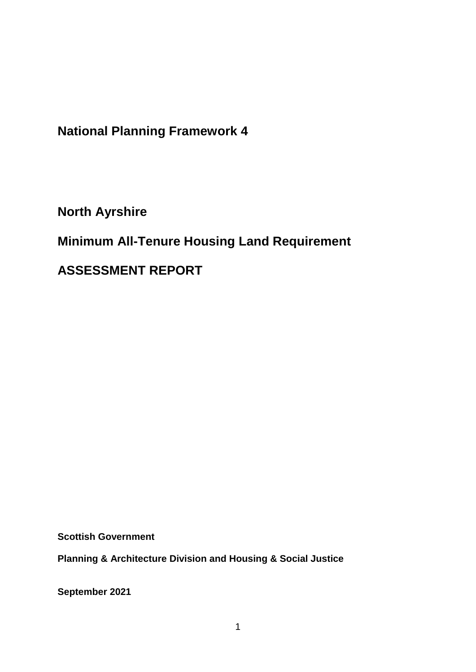**National Planning Framework 4**

**North Ayrshire**

**Minimum All-Tenure Housing Land Requirement** 

**ASSESSMENT REPORT**

**Scottish Government**

**Planning & Architecture Division and Housing & Social Justice** 

**September 2021**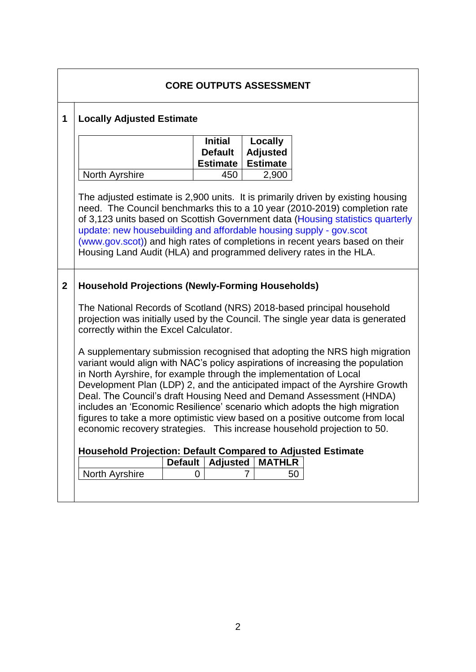| <b>Locally Adjusted Estimate</b>                                                                                                                                                                                                                                                                                                                                                                                                                                             |                                  |                                        |                                                                                                                               |  |  |  |
|------------------------------------------------------------------------------------------------------------------------------------------------------------------------------------------------------------------------------------------------------------------------------------------------------------------------------------------------------------------------------------------------------------------------------------------------------------------------------|----------------------------------|----------------------------------------|-------------------------------------------------------------------------------------------------------------------------------|--|--|--|
|                                                                                                                                                                                                                                                                                                                                                                                                                                                                              | <b>Initial</b><br><b>Default</b> | Locally<br><b>Adjusted</b>             |                                                                                                                               |  |  |  |
| <b>North Ayrshire</b>                                                                                                                                                                                                                                                                                                                                                                                                                                                        | 450                              | 2,900                                  |                                                                                                                               |  |  |  |
| The adjusted estimate is 2,900 units. It is primarily driven by existing housing<br>need. The Council benchmarks this to a 10 year (2010-2019) completion rate<br>of 3,123 units based on Scottish Government data (Housing statistics quarterly<br>update: new housebuilding and affordable housing supply - gov.scot<br>(www.gov.scot)) and high rates of completions in recent years based on their<br>Housing Land Audit (HLA) and programmed delivery rates in the HLA. |                                  |                                        |                                                                                                                               |  |  |  |
| <b>Household Projections (Newly-Forming Households)</b><br>The National Records of Scotland (NRS) 2018-based principal household                                                                                                                                                                                                                                                                                                                                             |                                  |                                        |                                                                                                                               |  |  |  |
| projection was initially used by the Council. The single year data is generated<br>correctly within the Excel Calculator.                                                                                                                                                                                                                                                                                                                                                    |                                  |                                        |                                                                                                                               |  |  |  |
| A supplementary submission recognised that adopting the NRS high migration<br>variant would align with NAC's policy aspirations of increasing the population<br>in North Ayrshire, for example through the implementation of Local                                                                                                                                                                                                                                           |                                  |                                        |                                                                                                                               |  |  |  |
| Development Plan (LDP) 2, and the anticipated impact of the Ayrshire Growth<br>Deal. The Council's draft Housing Need and Demand Assessment (HNDA)<br>includes an 'Economic Resilience' scenario which adopts the high migration                                                                                                                                                                                                                                             |                                  |                                        |                                                                                                                               |  |  |  |
| figures to take a more optimistic view based on a positive outcome from local<br>economic recovery strategies. This increase household projection to 50.                                                                                                                                                                                                                                                                                                                     |                                  |                                        |                                                                                                                               |  |  |  |
|                                                                                                                                                                                                                                                                                                                                                                                                                                                                              |                                  |                                        |                                                                                                                               |  |  |  |
|                                                                                                                                                                                                                                                                                                                                                                                                                                                                              |                                  |                                        |                                                                                                                               |  |  |  |
|                                                                                                                                                                                                                                                                                                                                                                                                                                                                              |                                  |                                        |                                                                                                                               |  |  |  |
|                                                                                                                                                                                                                                                                                                                                                                                                                                                                              | <b>North Ayrshire</b>            | <b>Estimate</b><br><b>Default</b><br>0 | <b>Estimate</b><br>Household Projection: Default Compared to Adjusted Estimate<br><b>Adjusted</b><br><b>MATHLR</b><br>50<br>7 |  |  |  |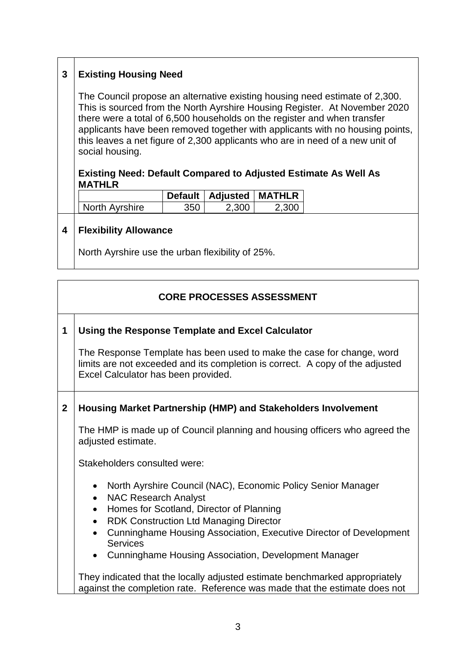# **3 Existing Housing Need**

The Council propose an alternative existing housing need estimate of 2,300. This is sourced from the North Ayrshire Housing Register. At November 2020 there were a total of 6,500 households on the register and when transfer applicants have been removed together with applicants with no housing points, this leaves a net figure of 2,300 applicants who are in need of a new unit of social housing.

#### **Existing Need: Default Compared to Adjusted Estimate As Well As MATHLR**

|                |     | Default   Adjusted   MATHLR |       |
|----------------|-----|-----------------------------|-------|
| North Avrshire | 350 | 2.300                       | 2.300 |

#### **4 Flexibility Allowance**

North Ayrshire use the urban flexibility of 25%.

## **CORE PROCESSES ASSESSMENT**

#### **1 Using the Response Template and Excel Calculator**

The Response Template has been used to make the case for change, word limits are not exceeded and its completion is correct. A copy of the adjusted Excel Calculator has been provided.

#### **2 Housing Market Partnership (HMP) and Stakeholders Involvement**

The HMP is made up of Council planning and housing officers who agreed the adiusted estimate.

Stakeholders consulted were:

- North Ayrshire Council (NAC), Economic Policy Senior Manager
- NAC Research Analyst
- Homes for Scotland, Director of Planning
- RDK Construction Ltd Managing Director
- Cunninghame Housing Association, Executive Director of Development **Services**
- Cunninghame Housing Association, Development Manager

They indicated that the locally adjusted estimate benchmarked appropriately against the completion rate. Reference was made that the estimate does not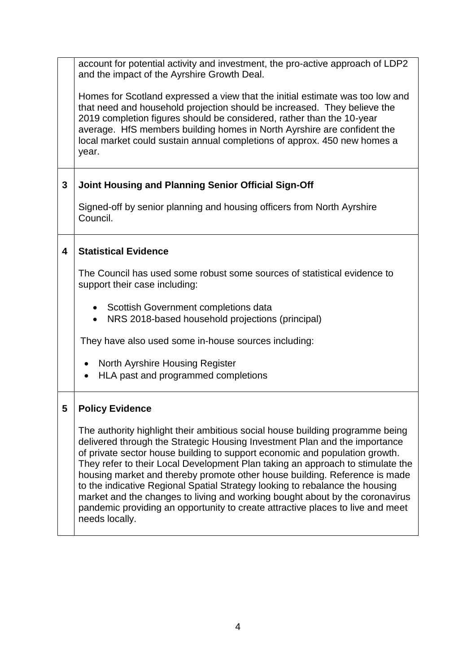account for potential activity and investment, the pro-active approach of LDP2 and the impact of the Ayrshire Growth Deal.

Homes for Scotland expressed a view that the initial estimate was too low and that need and household projection should be increased. They believe the 2019 completion figures should be considered, rather than the 10-year average. HfS members building homes in North Ayrshire are confident the local market could sustain annual completions of approx. 450 new homes a year.

### **3 Joint Housing and Planning Senior Official Sign-Off**

Signed-off by senior planning and housing officers from North Ayrshire Council.

#### **4 Statistical Evidence**

The Council has used some robust some sources of statistical evidence to support their case including:

- Scottish Government completions data
- NRS 2018-based household projections (principal)

They have also used some in-house sources including:

- North Ayrshire Housing Register
- HLA past and programmed completions

#### **5 Policy Evidence**

The authority highlight their ambitious social house building programme being delivered through the Strategic Housing Investment Plan and the importance of private sector house building to support economic and population growth. They refer to their Local Development Plan taking an approach to stimulate the housing market and thereby promote other house building. Reference is made to the indicative Regional Spatial Strategy looking to rebalance the housing market and the changes to living and working bought about by the coronavirus pandemic providing an opportunity to create attractive places to live and meet needs locally.